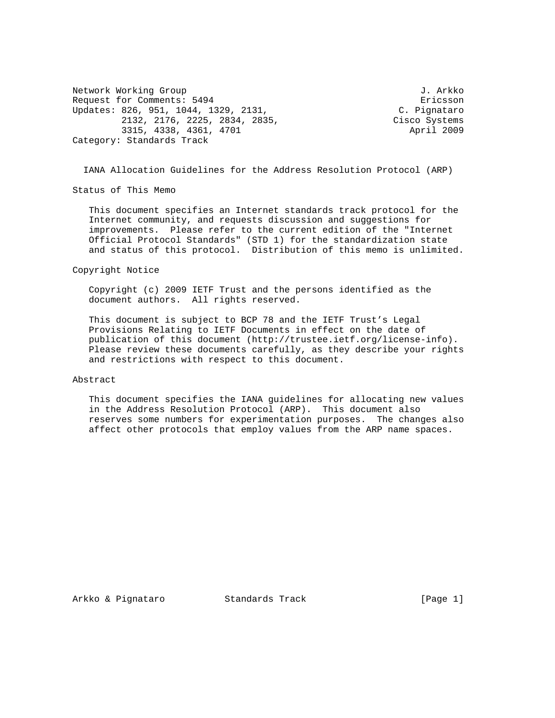Network Working Group 3. Arkko J. Arkko Request for Comments: 5494 Ericsson<br>Updates: 826, 951, 1044, 1329, 2131, C. Pignataro Updates: 826, 951, 1044, 1329, 2131, C. Pignataro 2132, 2176, 2225, 2834, 2835, Cisco Systems 3315, 4338, 4361, 4701 **April 2009** Category: Standards Track

IANA Allocation Guidelines for the Address Resolution Protocol (ARP)

Status of This Memo

 This document specifies an Internet standards track protocol for the Internet community, and requests discussion and suggestions for improvements. Please refer to the current edition of the "Internet Official Protocol Standards" (STD 1) for the standardization state and status of this protocol. Distribution of this memo is unlimited.

Copyright Notice

 Copyright (c) 2009 IETF Trust and the persons identified as the document authors. All rights reserved.

 This document is subject to BCP 78 and the IETF Trust's Legal Provisions Relating to IETF Documents in effect on the date of publication of this document (http://trustee.ietf.org/license-info). Please review these documents carefully, as they describe your rights and restrictions with respect to this document.

## Abstract

 This document specifies the IANA guidelines for allocating new values in the Address Resolution Protocol (ARP). This document also reserves some numbers for experimentation purposes. The changes also affect other protocols that employ values from the ARP name spaces.

Arkko & Pignataro Standards Track [Page 1]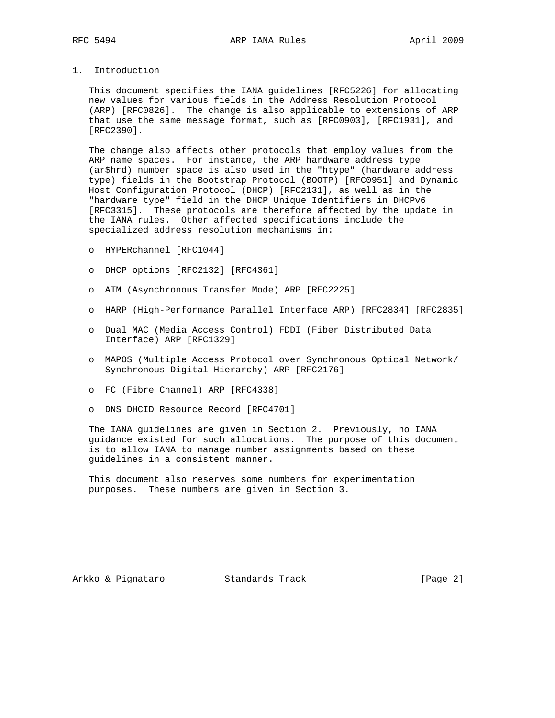## 1. Introduction

 This document specifies the IANA guidelines [RFC5226] for allocating new values for various fields in the Address Resolution Protocol (ARP) [RFC0826]. The change is also applicable to extensions of ARP that use the same message format, such as [RFC0903], [RFC1931], and [RFC2390].

 The change also affects other protocols that employ values from the ARP name spaces. For instance, the ARP hardware address type (ar\$hrd) number space is also used in the "htype" (hardware address type) fields in the Bootstrap Protocol (BOOTP) [RFC0951] and Dynamic Host Configuration Protocol (DHCP) [RFC2131], as well as in the "hardware type" field in the DHCP Unique Identifiers in DHCPv6 [RFC3315]. These protocols are therefore affected by the update in the IANA rules. Other affected specifications include the specialized address resolution mechanisms in:

- o HYPERchannel [RFC1044]
- o DHCP options [RFC2132] [RFC4361]
- o ATM (Asynchronous Transfer Mode) ARP [RFC2225]
- o HARP (High-Performance Parallel Interface ARP) [RFC2834] [RFC2835]
- o Dual MAC (Media Access Control) FDDI (Fiber Distributed Data Interface) ARP [RFC1329]
- o MAPOS (Multiple Access Protocol over Synchronous Optical Network/ Synchronous Digital Hierarchy) ARP [RFC2176]
- o FC (Fibre Channel) ARP [RFC4338]
- o DNS DHCID Resource Record [RFC4701]

 The IANA guidelines are given in Section 2. Previously, no IANA guidance existed for such allocations. The purpose of this document is to allow IANA to manage number assignments based on these guidelines in a consistent manner.

 This document also reserves some numbers for experimentation purposes. These numbers are given in Section 3.

Arkko & Pignataro Standards Track (Page 2)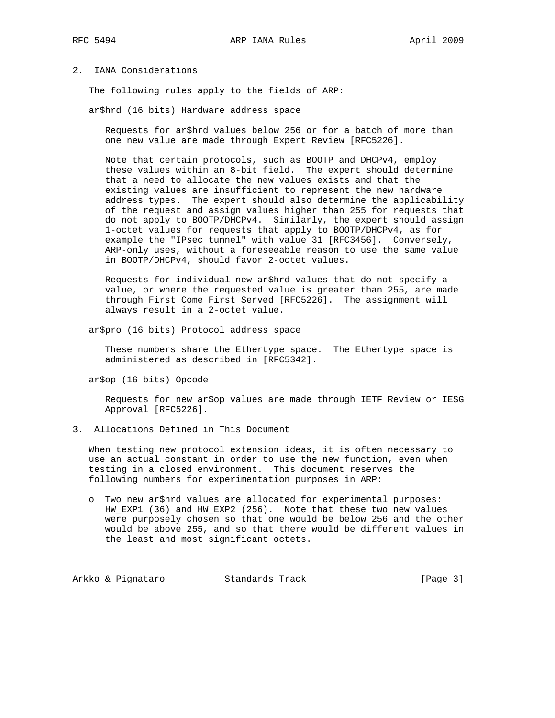## 2. IANA Considerations

The following rules apply to the fields of ARP:

ar\$hrd (16 bits) Hardware address space

 Requests for ar\$hrd values below 256 or for a batch of more than one new value are made through Expert Review [RFC5226].

 Note that certain protocols, such as BOOTP and DHCPv4, employ these values within an 8-bit field. The expert should determine that a need to allocate the new values exists and that the existing values are insufficient to represent the new hardware address types. The expert should also determine the applicability of the request and assign values higher than 255 for requests that do not apply to BOOTP/DHCPv4. Similarly, the expert should assign 1-octet values for requests that apply to BOOTP/DHCPv4, as for example the "IPsec tunnel" with value 31 [RFC3456]. Conversely, ARP-only uses, without a foreseeable reason to use the same value in BOOTP/DHCPv4, should favor 2-octet values.

 Requests for individual new ar\$hrd values that do not specify a value, or where the requested value is greater than 255, are made through First Come First Served [RFC5226]. The assignment will always result in a 2-octet value.

ar\$pro (16 bits) Protocol address space

 These numbers share the Ethertype space. The Ethertype space is administered as described in [RFC5342].

ar\$op (16 bits) Opcode

 Requests for new ar\$op values are made through IETF Review or IESG Approval [RFC5226].

3. Allocations Defined in This Document

 When testing new protocol extension ideas, it is often necessary to use an actual constant in order to use the new function, even when testing in a closed environment. This document reserves the following numbers for experimentation purposes in ARP:

 o Two new ar\$hrd values are allocated for experimental purposes: HW\_EXP1 (36) and HW\_EXP2 (256). Note that these two new values were purposely chosen so that one would be below 256 and the other would be above 255, and so that there would be different values in the least and most significant octets.

Arkko & Pignataro Standards Track [Page 3]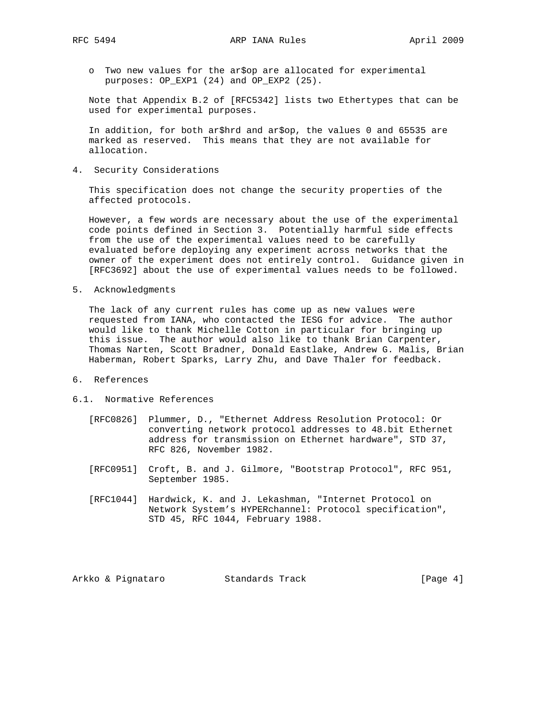- - o Two new values for the ar\$op are allocated for experimental purposes: OP\_EXP1 (24) and OP\_EXP2 (25).

 Note that Appendix B.2 of [RFC5342] lists two Ethertypes that can be used for experimental purposes.

 In addition, for both ar\$hrd and ar\$op, the values 0 and 65535 are marked as reserved. This means that they are not available for allocation.

4. Security Considerations

 This specification does not change the security properties of the affected protocols.

 However, a few words are necessary about the use of the experimental code points defined in Section 3. Potentially harmful side effects from the use of the experimental values need to be carefully evaluated before deploying any experiment across networks that the owner of the experiment does not entirely control. Guidance given in [RFC3692] about the use of experimental values needs to be followed.

5. Acknowledgments

 The lack of any current rules has come up as new values were requested from IANA, who contacted the IESG for advice. The author would like to thank Michelle Cotton in particular for bringing up this issue. The author would also like to thank Brian Carpenter, Thomas Narten, Scott Bradner, Donald Eastlake, Andrew G. Malis, Brian Haberman, Robert Sparks, Larry Zhu, and Dave Thaler for feedback.

- 6. References
- 6.1. Normative References
	- [RFC0826] Plummer, D., "Ethernet Address Resolution Protocol: Or converting network protocol addresses to 48.bit Ethernet address for transmission on Ethernet hardware", STD 37, RFC 826, November 1982.
	- [RFC0951] Croft, B. and J. Gilmore, "Bootstrap Protocol", RFC 951, September 1985.
	- [RFC1044] Hardwick, K. and J. Lekashman, "Internet Protocol on Network System's HYPERchannel: Protocol specification", STD 45, RFC 1044, February 1988.

Arkko & Pignataro Standards Track (Page 4)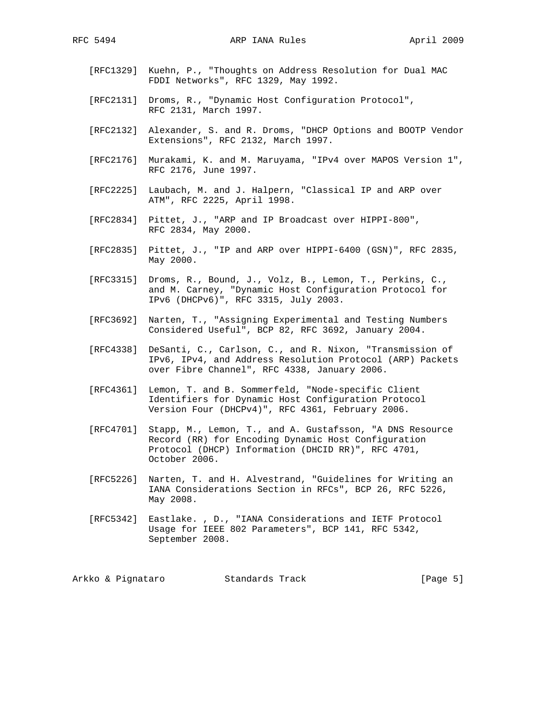- [RFC1329] Kuehn, P., "Thoughts on Address Resolution for Dual MAC FDDI Networks", RFC 1329, May 1992.
- [RFC2131] Droms, R., "Dynamic Host Configuration Protocol", RFC 2131, March 1997.
- [RFC2132] Alexander, S. and R. Droms, "DHCP Options and BOOTP Vendor Extensions", RFC 2132, March 1997.
- [RFC2176] Murakami, K. and M. Maruyama, "IPv4 over MAPOS Version 1", RFC 2176, June 1997.
- [RFC2225] Laubach, M. and J. Halpern, "Classical IP and ARP over ATM", RFC 2225, April 1998.
- [RFC2834] Pittet, J., "ARP and IP Broadcast over HIPPI-800", RFC 2834, May 2000.
- [RFC2835] Pittet, J., "IP and ARP over HIPPI-6400 (GSN)", RFC 2835, May 2000.
- [RFC3315] Droms, R., Bound, J., Volz, B., Lemon, T., Perkins, C., and M. Carney, "Dynamic Host Configuration Protocol for IPv6 (DHCPv6)", RFC 3315, July 2003.
- [RFC3692] Narten, T., "Assigning Experimental and Testing Numbers Considered Useful", BCP 82, RFC 3692, January 2004.
- [RFC4338] DeSanti, C., Carlson, C., and R. Nixon, "Transmission of IPv6, IPv4, and Address Resolution Protocol (ARP) Packets over Fibre Channel", RFC 4338, January 2006.
- [RFC4361] Lemon, T. and B. Sommerfeld, "Node-specific Client Identifiers for Dynamic Host Configuration Protocol Version Four (DHCPv4)", RFC 4361, February 2006.
- [RFC4701] Stapp, M., Lemon, T., and A. Gustafsson, "A DNS Resource Record (RR) for Encoding Dynamic Host Configuration Protocol (DHCP) Information (DHCID RR)", RFC 4701, October 2006.
- [RFC5226] Narten, T. and H. Alvestrand, "Guidelines for Writing an IANA Considerations Section in RFCs", BCP 26, RFC 5226, May 2008.
- [RFC5342] Eastlake. , D., "IANA Considerations and IETF Protocol Usage for IEEE 802 Parameters", BCP 141, RFC 5342, September 2008.

Arkko & Pignataro Standards Track (Page 5)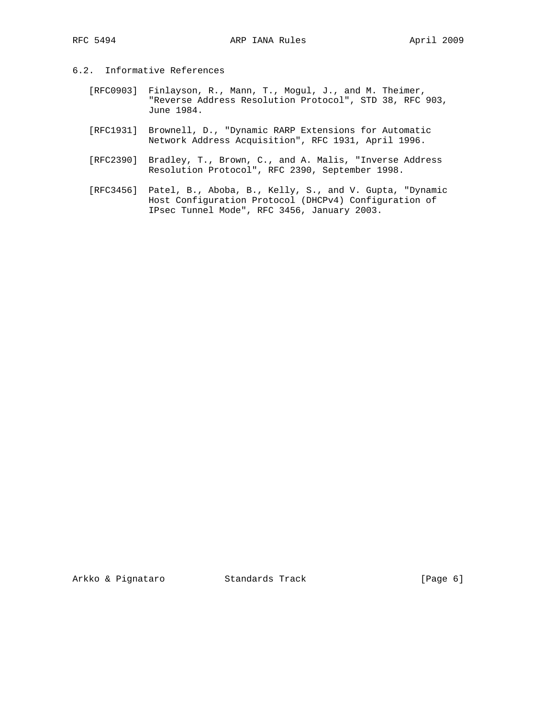- 6.2. Informative References
	- [RFC0903] Finlayson, R., Mann, T., Mogul, J., and M. Theimer, "Reverse Address Resolution Protocol", STD 38, RFC 903, June 1984.
	- [RFC1931] Brownell, D., "Dynamic RARP Extensions for Automatic Network Address Acquisition", RFC 1931, April 1996.
	- [RFC2390] Bradley, T., Brown, C., and A. Malis, "Inverse Address Resolution Protocol", RFC 2390, September 1998.
	- [RFC3456] Patel, B., Aboba, B., Kelly, S., and V. Gupta, "Dynamic Host Configuration Protocol (DHCPv4) Configuration of IPsec Tunnel Mode", RFC 3456, January 2003.